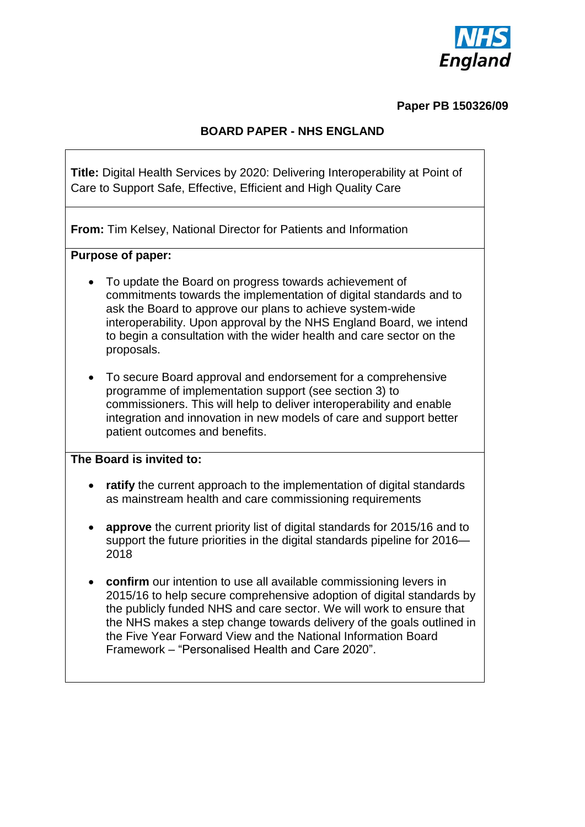

#### **Paper PB 150326/09**

### **BOARD PAPER - NHS ENGLAND**

**Title:** Digital Health Services by 2020: Delivering Interoperability at Point of Care to Support Safe, Effective, Efficient and High Quality Care

**From:** Tim Kelsey, National Director for Patients and Information

#### **Purpose of paper:**

- To update the Board on progress towards achievement of commitments towards the implementation of digital standards and to ask the Board to approve our plans to achieve system-wide interoperability. Upon approval by the NHS England Board, we intend to begin a consultation with the wider health and care sector on the proposals.
- To secure Board approval and endorsement for a comprehensive programme of implementation support (see section 3) to commissioners. This will help to deliver interoperability and enable integration and innovation in new models of care and support better patient outcomes and benefits.

#### **The Board is invited to:**

- **ratify** the current approach to the implementation of digital standards as mainstream health and care commissioning requirements
- **approve** the current priority list of digital standards for 2015/16 and to support the future priorities in the digital standards pipeline for 2016— 2018
- **confirm** our intention to use all available commissioning levers in 2015/16 to help secure comprehensive adoption of digital standards by the publicly funded NHS and care sector. We will work to ensure that the NHS makes a step change towards delivery of the goals outlined in the Five Year Forward View and the National Information Board Framework – "Personalised Health and Care 2020".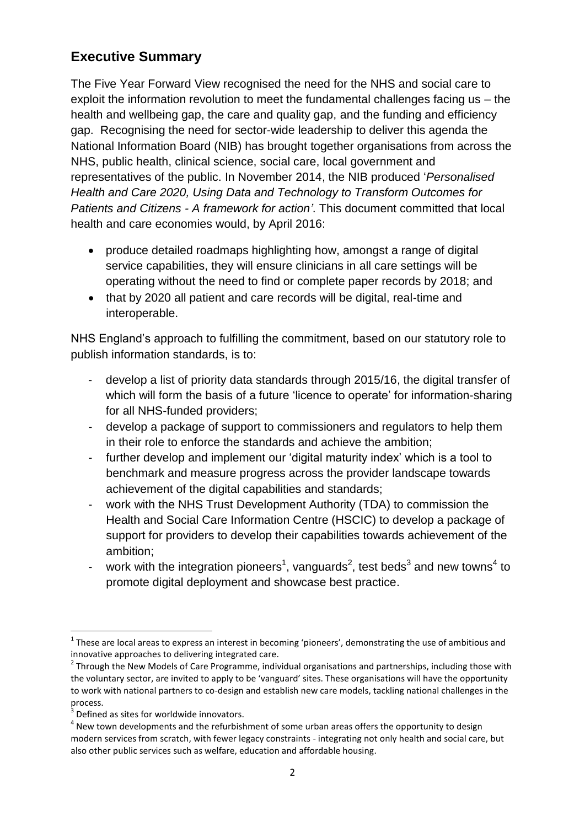# **Executive Summary**

The Five Year Forward View recognised the need for the NHS and social care to exploit the information revolution to meet the fundamental challenges facing us – the health and wellbeing gap, the care and quality gap, and the funding and efficiency gap. Recognising the need for sector-wide leadership to deliver this agenda the National Information Board (NIB) has brought together organisations from across the NHS, public health, clinical science, social care, local government and representatives of the public. In November 2014, the NIB produced '*Personalised Health and Care 2020, Using Data and Technology to Transform Outcomes for Patients and Citizens - A framework for action'*. This document committed that local health and care economies would, by April 2016:

- produce detailed roadmaps highlighting how, amongst a range of digital service capabilities, they will ensure clinicians in all care settings will be operating without the need to find or complete paper records by 2018; and
- that by 2020 all patient and care records will be digital, real-time and interoperable.

NHS England's approach to fulfilling the commitment, based on our statutory role to publish information standards, is to:

- develop a list of priority data standards through 2015/16, the digital transfer of which will form the basis of a future 'licence to operate' for information-sharing for all NHS-funded providers;
- develop a package of support to commissioners and regulators to help them in their role to enforce the standards and achieve the ambition;
- further develop and implement our 'digital maturity index' which is a tool to benchmark and measure progress across the provider landscape towards achievement of the digital capabilities and standards;
- work with the NHS Trust Development Authority (TDA) to commission the Health and Social Care Information Centre (HSCIC) to develop a package of support for providers to develop their capabilities towards achievement of the ambition;
- work with the integration pioneers<sup>1</sup>, vanguards<sup>2</sup>, test beds<sup>3</sup> and new towns<sup>4</sup> to promote digital deployment and showcase best practice.

**<sup>.</sup>**  $1$  These are local areas to express an interest in becoming 'pioneers', demonstrating the use of ambitious and innovative approaches to delivering integrated care.

<sup>&</sup>lt;sup>2</sup> Through the New Models of Care Programme, individual organisations and partnerships, including those with the voluntary sector, are invited to apply to be 'vanguard' sites. These organisations will have the opportunity to work with national partners to co-design and establish new care models, tackling national challenges in the process.

<sup>&</sup>lt;sup>3</sup> Defined as sites for worldwide innovators.

 $<sup>4</sup>$  New town developments and the refurbishment of some urban areas offers the opportunity to design</sup> modern services from scratch, with fewer legacy constraints - integrating not only health and social care, but also other public services such as welfare, education and affordable housing.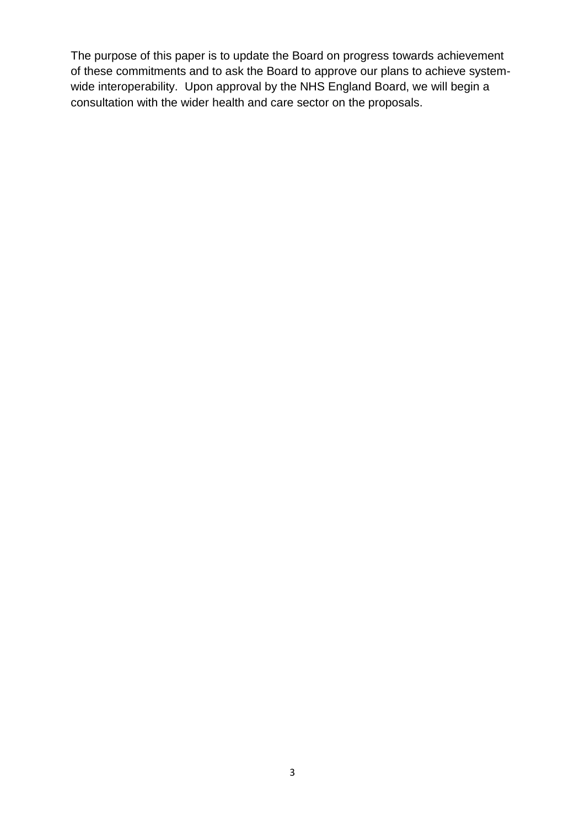The purpose of this paper is to update the Board on progress towards achievement of these commitments and to ask the Board to approve our plans to achieve systemwide interoperability. Upon approval by the NHS England Board, we will begin a consultation with the wider health and care sector on the proposals.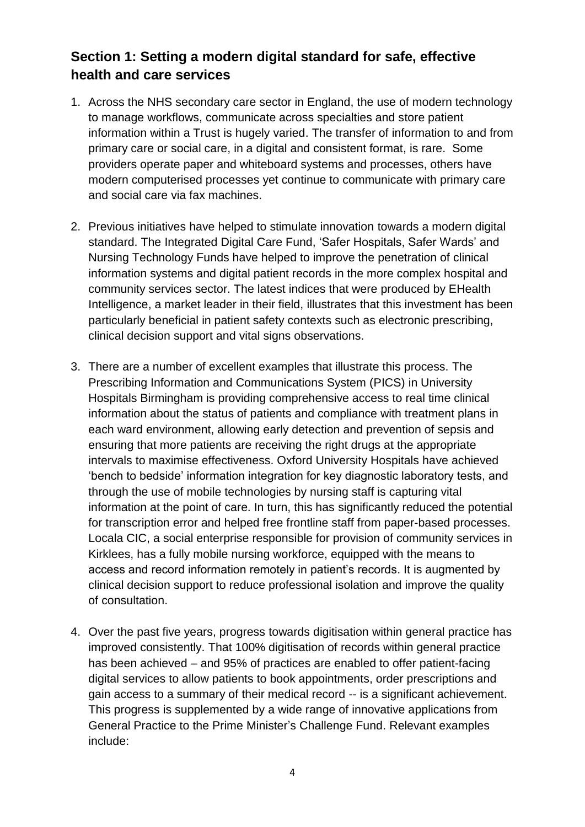# **Section 1: Setting a modern digital standard for safe, effective health and care services**

- 1. Across the NHS secondary care sector in England, the use of modern technology to manage workflows, communicate across specialties and store patient information within a Trust is hugely varied. The transfer of information to and from primary care or social care, in a digital and consistent format, is rare. Some providers operate paper and whiteboard systems and processes, others have modern computerised processes yet continue to communicate with primary care and social care via fax machines.
- 2. Previous initiatives have helped to stimulate innovation towards a modern digital standard. The Integrated Digital Care Fund, 'Safer Hospitals, Safer Wards' and Nursing Technology Funds have helped to improve the penetration of clinical information systems and digital patient records in the more complex hospital and community services sector. The latest indices that were produced by EHealth Intelligence, a market leader in their field, illustrates that this investment has been particularly beneficial in patient safety contexts such as electronic prescribing, clinical decision support and vital signs observations.
- 3. There are a number of excellent examples that illustrate this process. The Prescribing Information and Communications System (PICS) in University Hospitals Birmingham is providing comprehensive access to real time clinical information about the status of patients and compliance with treatment plans in each ward environment, allowing early detection and prevention of sepsis and ensuring that more patients are receiving the right drugs at the appropriate intervals to maximise effectiveness. Oxford University Hospitals have achieved 'bench to bedside' information integration for key diagnostic laboratory tests, and through the use of mobile technologies by nursing staff is capturing vital information at the point of care. In turn, this has significantly reduced the potential for transcription error and helped free frontline staff from paper-based processes. Locala CIC, a social enterprise responsible for provision of community services in Kirklees, has a fully mobile nursing workforce, equipped with the means to access and record information remotely in patient's records. It is augmented by clinical decision support to reduce professional isolation and improve the quality of consultation.
- 4. Over the past five years, progress towards digitisation within general practice has improved consistently. That 100% digitisation of records within general practice has been achieved – and 95% of practices are enabled to offer patient-facing digital services to allow patients to book appointments, order prescriptions and gain access to a summary of their medical record -- is a significant achievement. This progress is supplemented by a wide range of innovative applications from General Practice to the Prime Minister's Challenge Fund. Relevant examples include: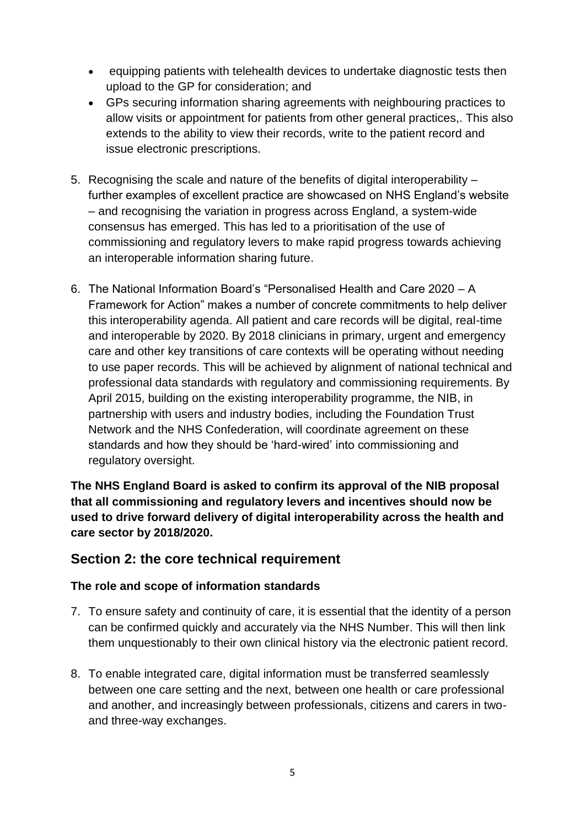- equipping patients with telehealth devices to undertake diagnostic tests then upload to the GP for consideration; and
- GPs securing information sharing agreements with neighbouring practices to allow visits or appointment for patients from other general practices,. This also extends to the ability to view their records, write to the patient record and issue electronic prescriptions.
- 5. Recognising the scale and nature of the benefits of digital interoperability further examples of excellent practice are showcased on NHS England's website – and recognising the variation in progress across England, a system-wide consensus has emerged. This has led to a prioritisation of the use of commissioning and regulatory levers to make rapid progress towards achieving an interoperable information sharing future.
- 6. The National Information Board's "Personalised Health and Care 2020 A Framework for Action" makes a number of concrete commitments to help deliver this interoperability agenda. All patient and care records will be digital, real-time and interoperable by 2020. By 2018 clinicians in primary, urgent and emergency care and other key transitions of care contexts will be operating without needing to use paper records. This will be achieved by alignment of national technical and professional data standards with regulatory and commissioning requirements. By April 2015, building on the existing interoperability programme, the NIB, in partnership with users and industry bodies, including the Foundation Trust Network and the NHS Confederation, will coordinate agreement on these standards and how they should be 'hard-wired' into commissioning and regulatory oversight.

**The NHS England Board is asked to confirm its approval of the NIB proposal that all commissioning and regulatory levers and incentives should now be used to drive forward delivery of digital interoperability across the health and care sector by 2018/2020.** 

## **Section 2: the core technical requirement**

### **The role and scope of information standards**

- 7. To ensure safety and continuity of care, it is essential that the identity of a person can be confirmed quickly and accurately via the NHS Number. This will then link them unquestionably to their own clinical history via the electronic patient record.
- 8. To enable integrated care, digital information must be transferred seamlessly between one care setting and the next, between one health or care professional and another, and increasingly between professionals, citizens and carers in twoand three-way exchanges.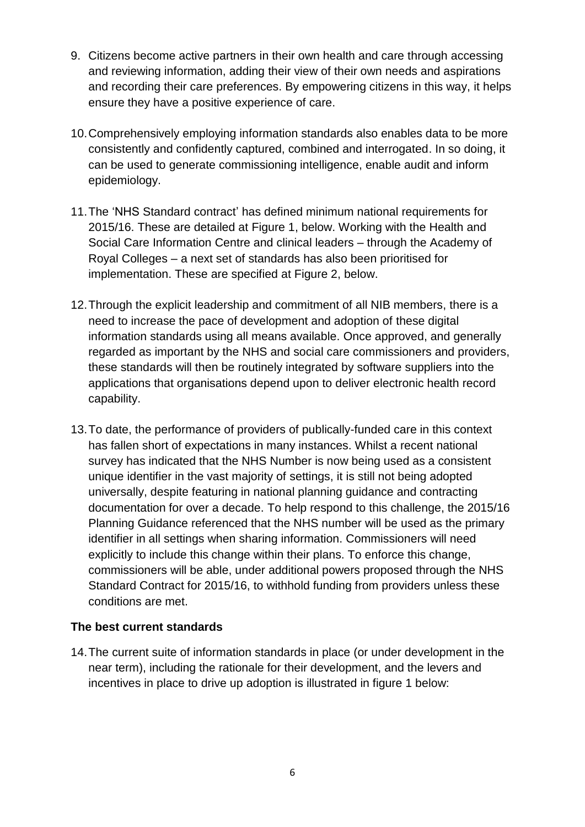- 9. Citizens become active partners in their own health and care through accessing and reviewing information, adding their view of their own needs and aspirations and recording their care preferences. By empowering citizens in this way, it helps ensure they have a positive experience of care.
- 10.Comprehensively employing information standards also enables data to be more consistently and confidently captured, combined and interrogated. In so doing, it can be used to generate commissioning intelligence, enable audit and inform epidemiology.
- 11.The 'NHS Standard contract' has defined minimum national requirements for 2015/16. These are detailed at Figure 1, below. Working with the Health and Social Care Information Centre and clinical leaders – through the Academy of Royal Colleges – a next set of standards has also been prioritised for implementation. These are specified at Figure 2, below.
- 12.Through the explicit leadership and commitment of all NIB members, there is a need to increase the pace of development and adoption of these digital information standards using all means available. Once approved, and generally regarded as important by the NHS and social care commissioners and providers, these standards will then be routinely integrated by software suppliers into the applications that organisations depend upon to deliver electronic health record capability.
- 13.To date, the performance of providers of publically-funded care in this context has fallen short of expectations in many instances. Whilst a recent national survey has indicated that the NHS Number is now being used as a consistent unique identifier in the vast majority of settings, it is still not being adopted universally, despite featuring in national planning guidance and contracting documentation for over a decade. To help respond to this challenge, the 2015/16 Planning Guidance referenced that the NHS number will be used as the primary identifier in all settings when sharing information. Commissioners will need explicitly to include this change within their plans. To enforce this change, commissioners will be able, under additional powers proposed through the NHS Standard Contract for 2015/16, to withhold funding from providers unless these conditions are met.

### **The best current standards**

14.The current suite of information standards in place (or under development in the near term), including the rationale for their development, and the levers and incentives in place to drive up adoption is illustrated in figure 1 below: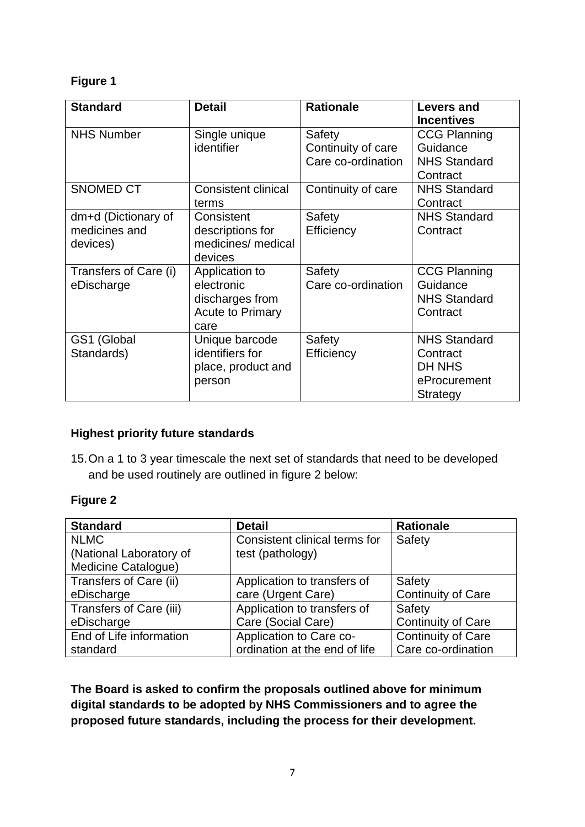### **Figure 1**

| <b>Standard</b>       | <b>Detail</b>              | <b>Rationale</b>   | Levers and          |
|-----------------------|----------------------------|--------------------|---------------------|
|                       |                            |                    | <b>Incentives</b>   |
| <b>NHS Number</b>     | Single unique              | Safety             | <b>CCG Planning</b> |
|                       | identifier                 | Continuity of care | Guidance            |
|                       |                            | Care co-ordination | <b>NHS Standard</b> |
|                       |                            |                    | Contract            |
| <b>SNOMED CT</b>      | <b>Consistent clinical</b> | Continuity of care | <b>NHS Standard</b> |
|                       | terms                      |                    | Contract            |
| dm+d (Dictionary of   | Consistent                 | Safety             | <b>NHS Standard</b> |
| medicines and         | descriptions for           | Efficiency         | Contract            |
| devices)              | medicines/ medical         |                    |                     |
|                       | devices                    |                    |                     |
| Transfers of Care (i) | Application to             | Safety             | <b>CCG Planning</b> |
| eDischarge            | electronic                 | Care co-ordination | Guidance            |
|                       | discharges from            |                    | <b>NHS Standard</b> |
|                       | <b>Acute to Primary</b>    |                    | Contract            |
|                       | care                       |                    |                     |
| GS1 (Global           | Unique barcode             | Safety             | <b>NHS Standard</b> |
| Standards)            | identifiers for            | Efficiency         | Contract            |
|                       | place, product and         |                    | DH NHS              |
|                       | person                     |                    | eProcurement        |
|                       |                            |                    | Strategy            |

### **Highest priority future standards**

15.On a 1 to 3 year timescale the next set of standards that need to be developed and be used routinely are outlined in figure 2 below:

### **Figure 2**

| <b>Standard</b>         | <b>Detail</b>                 | <b>Rationale</b>          |
|-------------------------|-------------------------------|---------------------------|
| <b>NLMC</b>             | Consistent clinical terms for | Safety                    |
| (National Laboratory of | test (pathology)              |                           |
| Medicine Catalogue)     |                               |                           |
| Transfers of Care (ii)  | Application to transfers of   | Safety                    |
| eDischarge              | care (Urgent Care)            | <b>Continuity of Care</b> |
| Transfers of Care (iii) | Application to transfers of   | Safety                    |
| eDischarge              | Care (Social Care)            | <b>Continuity of Care</b> |
| End of Life information | Application to Care co-       | <b>Continuity of Care</b> |
| standard                | ordination at the end of life | Care co-ordination        |

**The Board is asked to confirm the proposals outlined above for minimum digital standards to be adopted by NHS Commissioners and to agree the proposed future standards, including the process for their development.**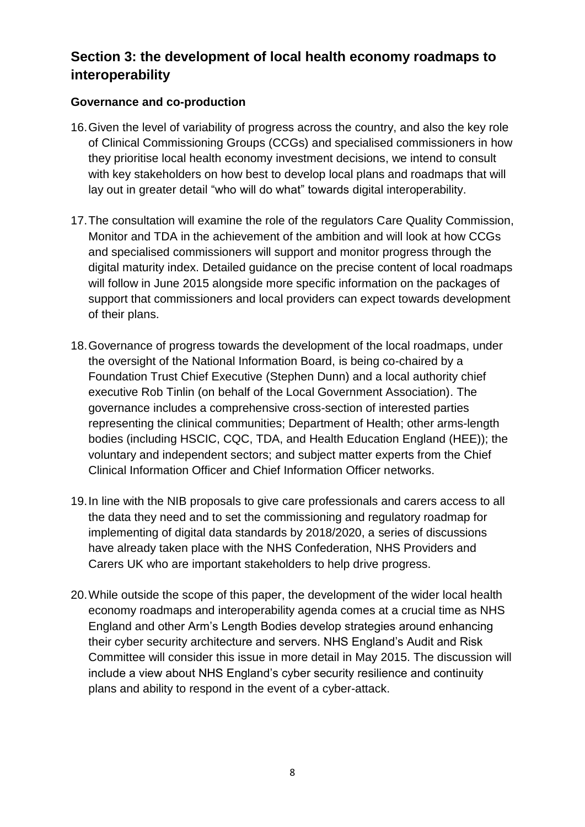# **Section 3: the development of local health economy roadmaps to interoperability**

### **Governance and co-production**

- 16.Given the level of variability of progress across the country, and also the key role of Clinical Commissioning Groups (CCGs) and specialised commissioners in how they prioritise local health economy investment decisions, we intend to consult with key stakeholders on how best to develop local plans and roadmaps that will lay out in greater detail "who will do what" towards digital interoperability.
- 17.The consultation will examine the role of the regulators Care Quality Commission, Monitor and TDA in the achievement of the ambition and will look at how CCGs and specialised commissioners will support and monitor progress through the digital maturity index. Detailed guidance on the precise content of local roadmaps will follow in June 2015 alongside more specific information on the packages of support that commissioners and local providers can expect towards development of their plans.
- 18.Governance of progress towards the development of the local roadmaps, under the oversight of the National Information Board, is being co-chaired by a Foundation Trust Chief Executive (Stephen Dunn) and a local authority chief executive Rob Tinlin (on behalf of the Local Government Association). The governance includes a comprehensive cross-section of interested parties representing the clinical communities; Department of Health; other arms-length bodies (including HSCIC, CQC, TDA, and Health Education England (HEE)); the voluntary and independent sectors; and subject matter experts from the Chief Clinical Information Officer and Chief Information Officer networks.
- 19.In line with the NIB proposals to give care professionals and carers access to all the data they need and to set the commissioning and regulatory roadmap for implementing of digital data standards by 2018/2020, a series of discussions have already taken place with the NHS Confederation, NHS Providers and Carers UK who are important stakeholders to help drive progress.
- 20.While outside the scope of this paper, the development of the wider local health economy roadmaps and interoperability agenda comes at a crucial time as NHS England and other Arm's Length Bodies develop strategies around enhancing their cyber security architecture and servers. NHS England's Audit and Risk Committee will consider this issue in more detail in May 2015. The discussion will include a view about NHS England's cyber security resilience and continuity plans and ability to respond in the event of a cyber-attack.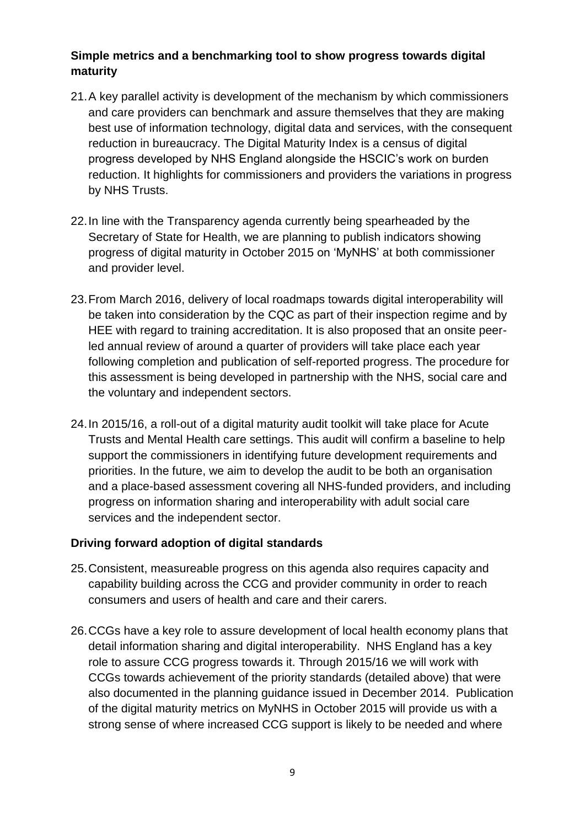## **Simple metrics and a benchmarking tool to show progress towards digital maturity**

- 21.A key parallel activity is development of the mechanism by which commissioners and care providers can benchmark and assure themselves that they are making best use of information technology, digital data and services, with the consequent reduction in bureaucracy. The Digital Maturity Index is a census of digital progress developed by NHS England alongside the HSCIC's work on burden reduction. It highlights for commissioners and providers the variations in progress by NHS Trusts.
- 22.In line with the Transparency agenda currently being spearheaded by the Secretary of State for Health, we are planning to publish indicators showing progress of digital maturity in October 2015 on 'MyNHS' at both commissioner and provider level.
- 23.From March 2016, delivery of local roadmaps towards digital interoperability will be taken into consideration by the CQC as part of their inspection regime and by HEE with regard to training accreditation. It is also proposed that an onsite peerled annual review of around a quarter of providers will take place each year following completion and publication of self-reported progress. The procedure for this assessment is being developed in partnership with the NHS, social care and the voluntary and independent sectors.
- 24.In 2015/16, a roll-out of a digital maturity audit toolkit will take place for Acute Trusts and Mental Health care settings. This audit will confirm a baseline to help support the commissioners in identifying future development requirements and priorities. In the future, we aim to develop the audit to be both an organisation and a place-based assessment covering all NHS-funded providers, and including progress on information sharing and interoperability with adult social care services and the independent sector.

### **Driving forward adoption of digital standards**

- 25.Consistent, measureable progress on this agenda also requires capacity and capability building across the CCG and provider community in order to reach consumers and users of health and care and their carers.
- 26.CCGs have a key role to assure development of local health economy plans that detail information sharing and digital interoperability. NHS England has a key role to assure CCG progress towards it. Through 2015/16 we will work with CCGs towards achievement of the priority standards (detailed above) that were also documented in the planning guidance issued in December 2014. Publication of the digital maturity metrics on MyNHS in October 2015 will provide us with a strong sense of where increased CCG support is likely to be needed and where